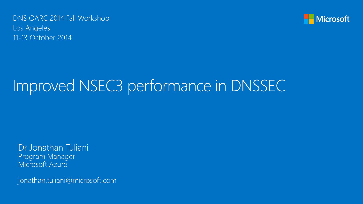DNS OARC 2014 Fall Workshop Los Angeles 11-13 October 2014



### Improved NSEC3 performance in DNSSEC

Dr Jonathan Tuliani Program Manager Microsoft Azure

jonathan.tuliani@microsoft.com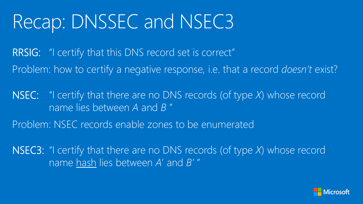### Recap: DNSSEC and NSEC3

RRSIG: "I certify that this DNS record set is correct" Problem: how to certify a negative response, i.e. that a record *doesn't* exist?

NSEC: "I certify that there are no DNS records (of type *X*) whose record name lies between *A* and *B* "

Problem: NSEC records enable zones to be enumerated

NSEC3: "I certify that there are no DNS records (of type *X*) whose record name hash lies between *A*' and *B'* "

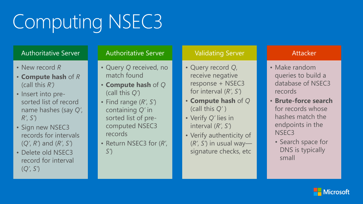# **Computing NSEC3**

### Authoritative Server

- New record *R*
- **Compute hash** of *R* (call this *R')*
- Insert into pre sorted list of record name hashes (say *Q'*, *R'*, *S'*)
- Sign new NSEC3 records for intervals (*Q'*, *R'*) and (*R'*, *S'*)
- Delete old NSEC3 record for interval (*Q'*, *S'*)

#### Authoritative Server

- Query *Q* received, no match found
- **Compute hash** of *Q* (call this *Q'*)
- Find range (*R'*, *S'*) containing *Q'* in sorted list of pre computed NSEC3 records
- Return NSEC3 for (*R'*, *S'*)

### Validating Server

- Query record *Q*, receive negative response + NSEC3 for interval (*R'*, *S'*)
- **Compute hash** of *Q*  (call this *Q'*  )
- Verify *Q'* lies in interval (*R'*, *S'*)
- Verify authenticity of (*R'*, *S'*) in usual way signature checks, etc

### **Attacker**

- Make random queries to build a database of NSEC3 records
- **Brute -force search**  for records whose hashes match the endpoints in the NSEC3
	- Search space for DNS is typically small

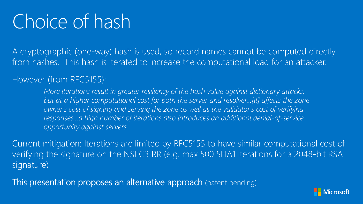## Choice of hash

A cryptographic (one-way) hash is used, so record names cannot be computed directly from hashes. This hash is iterated to increase the computational load for an attacker.

### However (from RFC5155):

*More iterations result in greater resiliency of the hash value against dictionary attacks, but at a higher computational cost for both the server and resolver…[it] affects the zone owner's cost of signing and serving the zone as well as the validator's cost of verifying responses…a high number of iterations also introduces an additional denial-of-service opportunity against servers*

Current mitigation: Iterations are limited by RFC5155 to have similar computational cost of verifying the signature on the NSEC3 RR (e.g. max 500 SHA1 iterations for a 2048-bit RSA signature)

This presentation proposes an alternative approach (patent pending)

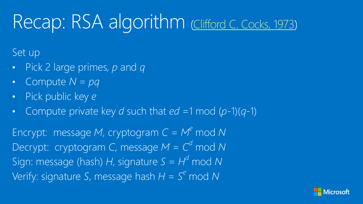# Recap: RSA algorithm [Clifford C. Cocks, 1973](http://www.cesg.gov.uk/publications/Documents/nonsecret_encryption.pdf))

Set up

- Pick 2 large primes, *p* and *q*
- Compute *N* = *pq*
- Pick public key *e*
- Compute private key *d* such that  $ed =1 \mod (p-1)(q-1)$

Encrypt: message *M*, cryptogram  $C = M^e$  mod *N* Decrypt: cryptogram *C*, message  $M = C<sup>d</sup>$  mod *N* Sign: message (hash)  $H$ , signature  $S = H<sup>d</sup>$  mod N Verify: signature *S*, message hash  $H = S<sup>e</sup>$  mod N

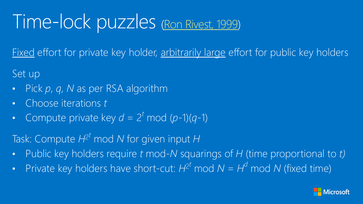### Time-lock puzzles ([Ron Rivest, 1999](http://people.csail.mit.edu/rivest/lcs35-puzzle-description.txt))

Fixed effort for private key holder, arbitrarily large effort for public key holders

Set up

- Pick *p*, *q*, *N* as per RSA algorithm
- Choose iterations *t*
- Compute private key  $d = 2^t \text{ mod } (p-1)(q-1)$

Task: Compute *H*<sup>2</sup> *<sup>t</sup>* mod *N* for given input *H*

- Public key holders require *t* mod-*N* squarings of *H* (time proportional to *t)*
- Private key holders have short-cut:  $H^2$ <sup>t</sup> mod  $N = H^d$  mod N (fixed time)

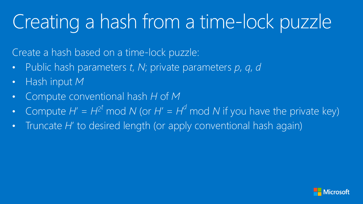# Creating a hash from a time-lock puzzle

Create a hash based on a time-lock puzzle:

- Public hash parameters *t*, *N*; private parameters *p*, *q*, *d*
- Hash input *M*
- Compute conventional hash *H* of *M*
- Compute  $H' = H^{2^t} \text{ mod } N$  (or  $H' = H^d \text{ mod } N$  if you have the private key)
- Truncate *H*' to desired length (or apply conventional hash again)

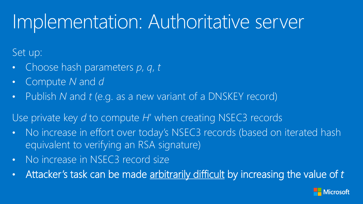### Implementation: Authoritative server

Set up:

- Choose hash parameters *p*, *q*, *t*
- Compute *N* and *d*
- Publish *N* and *t* (e.g. as a new variant of a DNSKEY record)

Use private key *d* to compute *H*' when creating NSEC3 records

- No increase in effort over today's NSEC3 records (based on iterated hash equivalent to verifying an RSA signature)
- No increase in NSEC3 record size
- Attacker's task can be made arbitrarily difficult by increasing the value of *t*

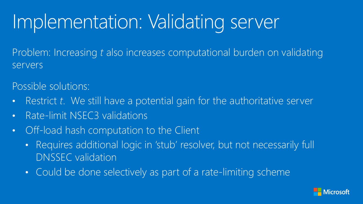# Implementation: Validating server

Problem: Increasing *t* also increases computational burden on validating servers

Possible solutions:

- Restrict t. We still have a potential gain for the authoritative server
- Rate-limit NSEC3 validations
- Off-load hash computation to the Client
	- Requires additional logic in 'stub' resolver, but not necessarily full DNSSEC validation
	- Could be done selectively as part of a rate-limiting scheme

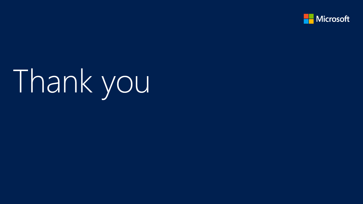

# Thank you